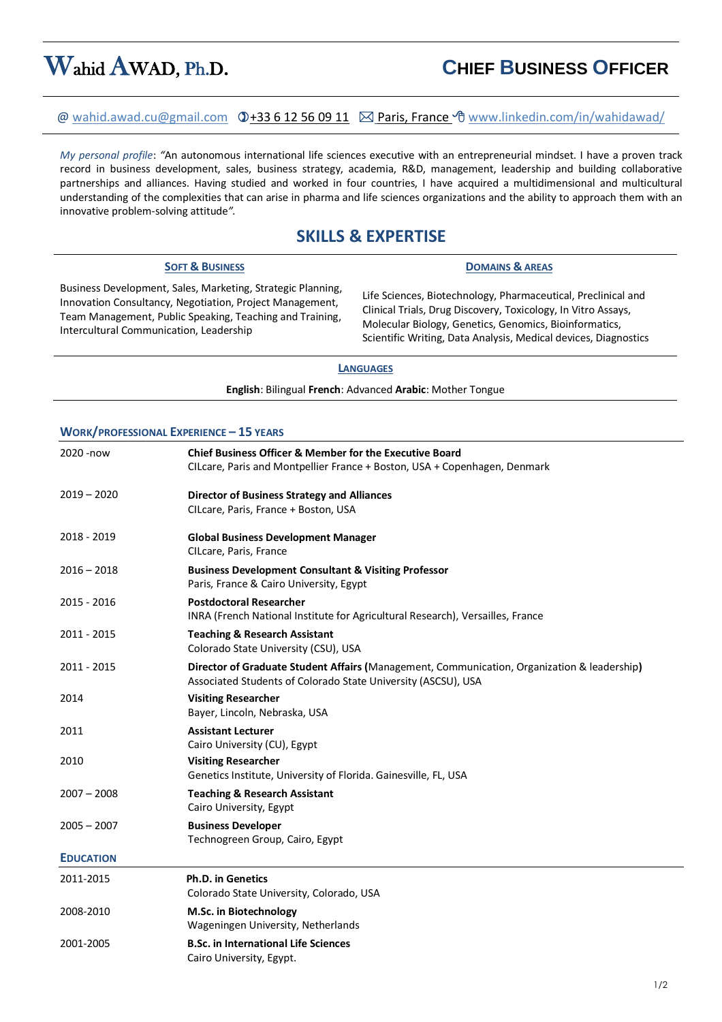# Wahid AWAD, Ph.D. **CHIEF BUSINESS OFFICER**

## @ [wahid.awad.cu@gmail.com](mailto:wahid.awad.cu@gmail.com)+33 6 12 56 09 11 Paris, France [www.linkedin.com/in/wahidawad/](http://www.linkedin.com/in/wahidawad/)

*My personal profile*: *"*An autonomous international life sciences executive with an entrepreneurial mindset. I have a proven track record in business development, sales, business strategy, academia, R&D, management, leadership and building collaborative partnerships and alliances. Having studied and worked in four countries, I have acquired a multidimensional and multicultural understanding of the complexities that can arise in pharma and life sciences organizations and the ability to approach them with an innovative problem-solving attitude*".*

## **SKILLS & EXPERTISE**

### **SOFT & BUSINESS DOMAINS & AREAS**

Business Development, Sales, Marketing, Strategic Planning, Innovation Consultancy, Negotiation, Project Management, Team Management, Public Speaking, Teaching and Training, Intercultural Communication, Leadership

Life Sciences, Biotechnology, Pharmaceutical, Preclinical and Clinical Trials, Drug Discovery, Toxicology, In Vitro Assays, Molecular Biology, Genetics, Genomics, Bioinformatics, Scientific Writing, Data Analysis, Medical devices, Diagnostics

### **LANGUAGES**

**English**: Bilingual **French**: Advanced **Arabic**: Mother Tongue

### **WORK/PROFESSIONAL EXPERIENCE – 15 YEARS**

| 2020 - now       | <b>Chief Business Officer &amp; Member for the Executive Board</b><br>CILcare, Paris and Montpellier France + Boston, USA + Copenhagen, Denmark              |
|------------------|--------------------------------------------------------------------------------------------------------------------------------------------------------------|
| $2019 - 2020$    | <b>Director of Business Strategy and Alliances</b><br>CILcare, Paris, France + Boston, USA                                                                   |
| 2018 - 2019      | <b>Global Business Development Manager</b><br>CILcare, Paris, France                                                                                         |
| $2016 - 2018$    | <b>Business Development Consultant &amp; Visiting Professor</b><br>Paris, France & Cairo University, Egypt                                                   |
| 2015 - 2016      | <b>Postdoctoral Researcher</b><br>INRA (French National Institute for Agricultural Research), Versailles, France                                             |
| 2011 - 2015      | <b>Teaching &amp; Research Assistant</b><br>Colorado State University (CSU), USA                                                                             |
| 2011 - 2015      | Director of Graduate Student Affairs (Management, Communication, Organization & leadership)<br>Associated Students of Colorado State University (ASCSU), USA |
| 2014             | <b>Visiting Researcher</b><br>Bayer, Lincoln, Nebraska, USA                                                                                                  |
| 2011             | <b>Assistant Lecturer</b><br>Cairo University (CU), Egypt                                                                                                    |
| 2010             | <b>Visiting Researcher</b><br>Genetics Institute, University of Florida. Gainesville, FL, USA                                                                |
| $2007 - 2008$    | <b>Teaching &amp; Research Assistant</b><br>Cairo University, Egypt                                                                                          |
| $2005 - 2007$    | <b>Business Developer</b><br>Technogreen Group, Cairo, Egypt                                                                                                 |
| <b>EDUCATION</b> |                                                                                                                                                              |
| 2011-2015        | <b>Ph.D. in Genetics</b><br>Colorado State University, Colorado, USA                                                                                         |
| 2008-2010        | M.Sc. in Biotechnology<br>Wageningen University, Netherlands                                                                                                 |
| 2001-2005        | <b>B.Sc. in International Life Sciences</b><br>Cairo University, Egypt.                                                                                      |